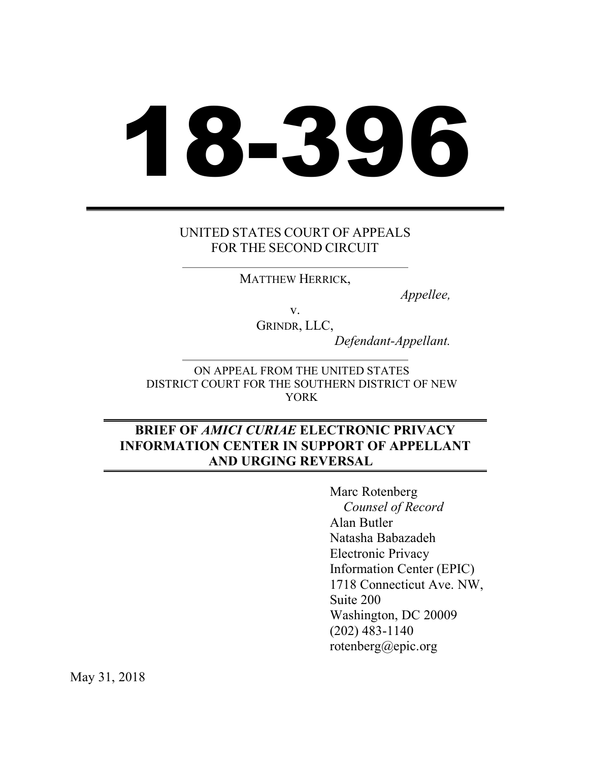# 18-396

# UNITED STATES COURT OF APPEALS FOR THE SECOND CIRCUIT

MATTHEW HERRICK,

*Appellee,*

v. GRINDR, LLC,

*Defendant-Appellant.*

ON APPEAL FROM THE UNITED STATES DISTRICT COURT FOR THE SOUTHERN DISTRICT OF NEW YORK

# **BRIEF OF** *AMICI CURIAE* **ELECTRONIC PRIVACY INFORMATION CENTER IN SUPPORT OF APPELLANT AND URGING REVERSAL**

Marc Rotenberg *Counsel of Record* Alan Butler Natasha Babazadeh Electronic Privacy Information Center (EPIC) 1718 Connecticut Ave. NW, Suite 200 Washington, DC 20009 (202) 483-1140 rotenberg@epic.org

May 31, 2018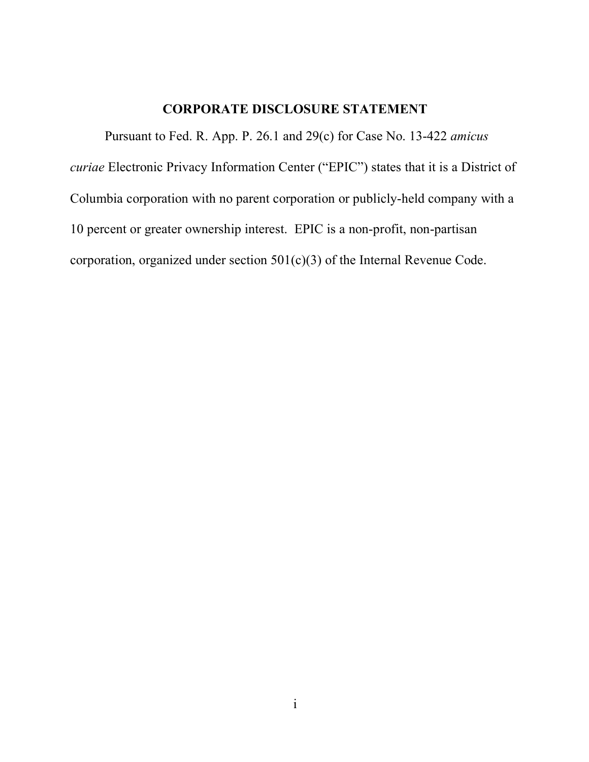# **CORPORATE DISCLOSURE STATEMENT**

Pursuant to Fed. R. App. P. 26.1 and 29(c) for Case No. 13-422 *amicus curiae* Electronic Privacy Information Center ("EPIC") states that it is a District of Columbia corporation with no parent corporation or publicly-held company with a 10 percent or greater ownership interest. EPIC is a non-profit, non-partisan corporation, organized under section 501(c)(3) of the Internal Revenue Code.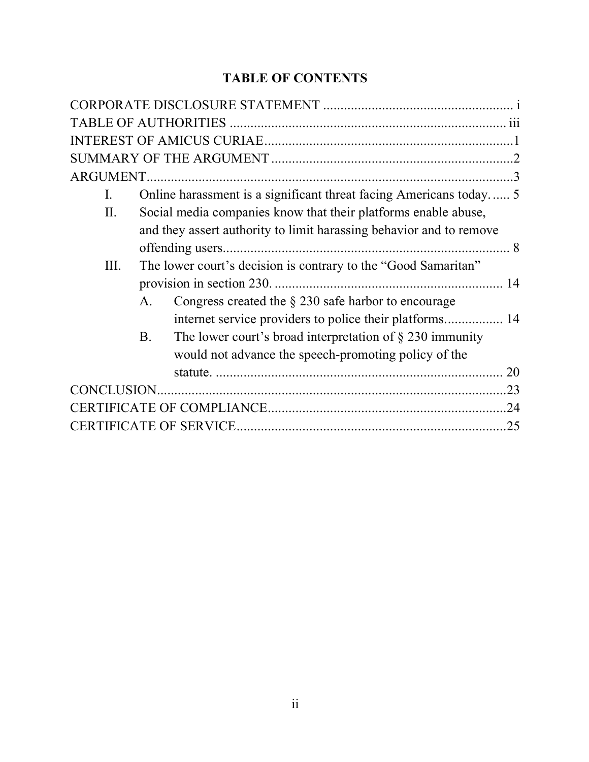# **TABLE OF CONTENTS**

| $\rm I$ . |                                                                           |     |
|-----------|---------------------------------------------------------------------------|-----|
| II.       | Social media companies know that their platforms enable abuse,            |     |
|           | and they assert authority to limit harassing behavior and to remove       |     |
|           |                                                                           |     |
| III.      | The lower court's decision is contrary to the "Good Samaritan"            |     |
|           |                                                                           |     |
|           | Congress created the $\S 230$ safe harbor to encourage<br>$A_{\cdot}$     |     |
|           |                                                                           |     |
|           | The lower court's broad interpretation of $\S$ 230 immunity<br><b>B</b> . |     |
|           | would not advance the speech-promoting policy of the                      |     |
|           |                                                                           | 20  |
|           |                                                                           | .23 |
|           |                                                                           | .24 |
|           |                                                                           | 25  |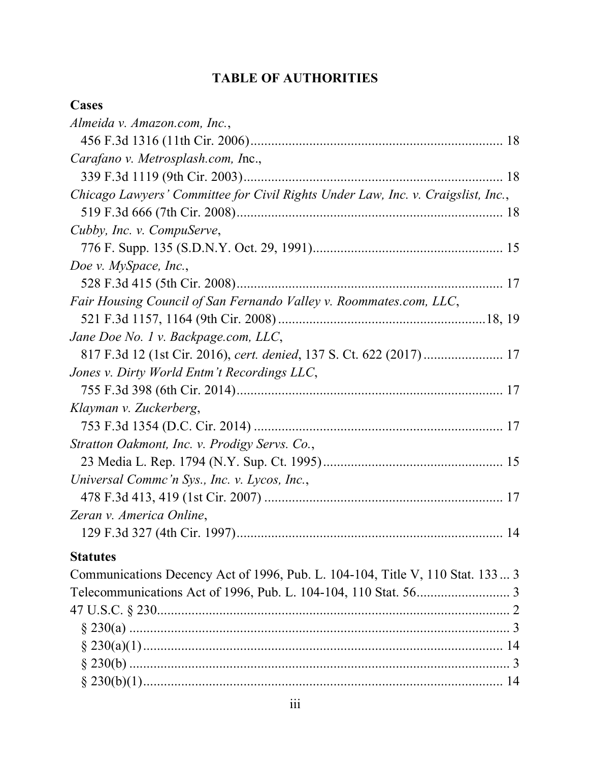# **TABLE OF AUTHORITIES**

# **Cases**

| Almeida v. Amazon.com, Inc.,                                                     |  |
|----------------------------------------------------------------------------------|--|
|                                                                                  |  |
| Carafano v. Metrosplash.com, Inc.,                                               |  |
|                                                                                  |  |
| Chicago Lawyers' Committee for Civil Rights Under Law, Inc. v. Craigslist, Inc., |  |
|                                                                                  |  |
| Cubby, Inc. v. CompuServe,                                                       |  |
|                                                                                  |  |
| Doe v. MySpace, Inc.,                                                            |  |
|                                                                                  |  |
| Fair Housing Council of San Fernando Valley v. Roommates.com, LLC,               |  |
|                                                                                  |  |
| Jane Doe No. 1 v. Backpage.com, LLC,                                             |  |
|                                                                                  |  |
| Jones v. Dirty World Entm't Recordings LLC,                                      |  |
|                                                                                  |  |
| Klayman v. Zuckerberg,                                                           |  |
|                                                                                  |  |
| Stratton Oakmont, Inc. v. Prodigy Servs. Co.,                                    |  |
|                                                                                  |  |
| Universal Commc'n Sys., Inc. v. Lycos, Inc.,                                     |  |
|                                                                                  |  |
| Zeran v. America Online,                                                         |  |
|                                                                                  |  |
| <b>Statutes</b>                                                                  |  |
| Communications Decency Act of 1996, Pub. L. 104-104, Title V, 110 Stat. 133 3    |  |
|                                                                                  |  |
|                                                                                  |  |
|                                                                                  |  |
|                                                                                  |  |
|                                                                                  |  |
|                                                                                  |  |
|                                                                                  |  |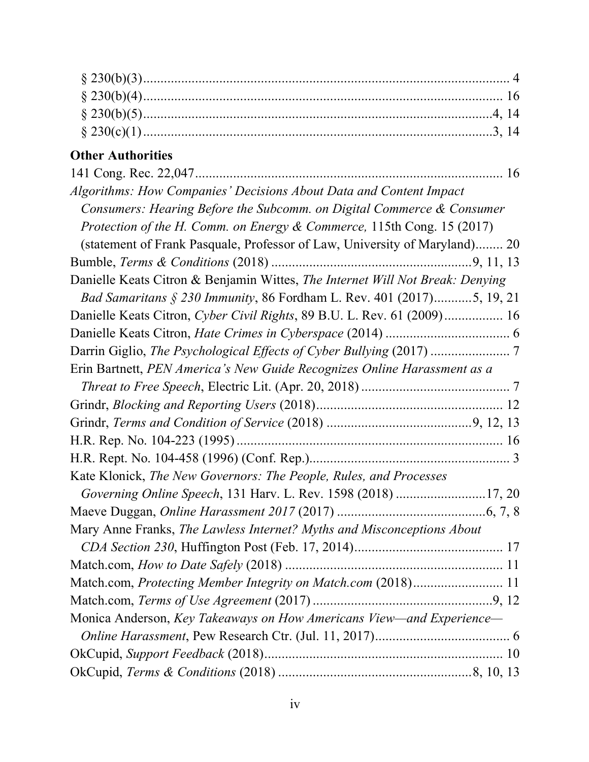# **Other Authorities**

| Algorithms: How Companies' Decisions About Data and Content Impact            |  |
|-------------------------------------------------------------------------------|--|
| Consumers: Hearing Before the Subcomm. on Digital Commerce & Consumer         |  |
| Protection of the H. Comm. on Energy & Commerce, 115th Cong. 15 (2017)        |  |
| (statement of Frank Pasquale, Professor of Law, University of Maryland) 20    |  |
|                                                                               |  |
| Danielle Keats Citron & Benjamin Wittes, The Internet Will Not Break: Denying |  |
| Bad Samaritans § 230 Immunity, 86 Fordham L. Rev. 401 (2017)5, 19, 21         |  |
| Danielle Keats Citron, Cyber Civil Rights, 89 B.U. L. Rev. 61 (2009) 16       |  |
|                                                                               |  |
|                                                                               |  |
| Erin Bartnett, PEN America's New Guide Recognizes Online Harassment as a      |  |
|                                                                               |  |
|                                                                               |  |
|                                                                               |  |
|                                                                               |  |
|                                                                               |  |
| Kate Klonick, The New Governors: The People, Rules, and Processes             |  |
| Governing Online Speech, 131 Harv. L. Rev. 1598 (2018) 17, 20                 |  |
|                                                                               |  |
| Mary Anne Franks, The Lawless Internet? Myths and Misconceptions About        |  |
|                                                                               |  |
|                                                                               |  |
| Match.com, Protecting Member Integrity on Match.com (2018) 11                 |  |
|                                                                               |  |
| Monica Anderson, Key Takeaways on How Americans View—and Experience—          |  |
|                                                                               |  |
|                                                                               |  |
|                                                                               |  |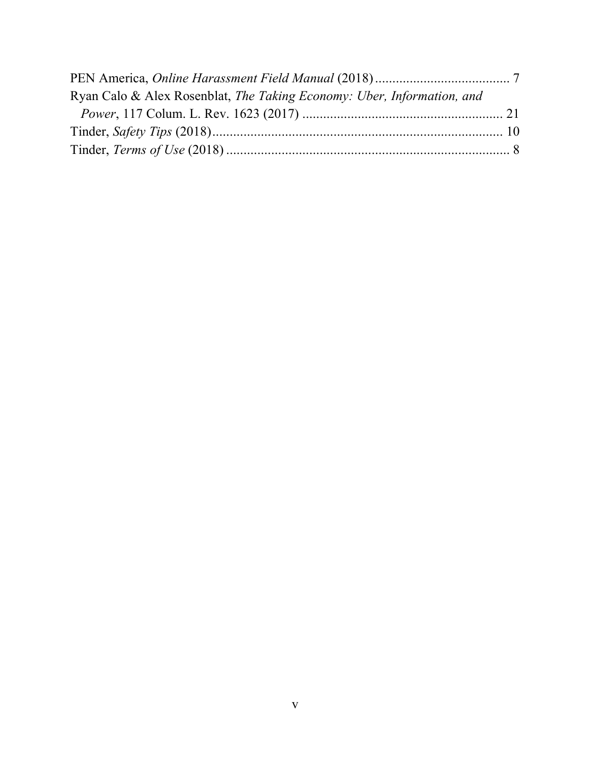| Ryan Calo & Alex Rosenblat, The Taking Economy: Uber, Information, and |  |
|------------------------------------------------------------------------|--|
|                                                                        |  |
|                                                                        |  |
|                                                                        |  |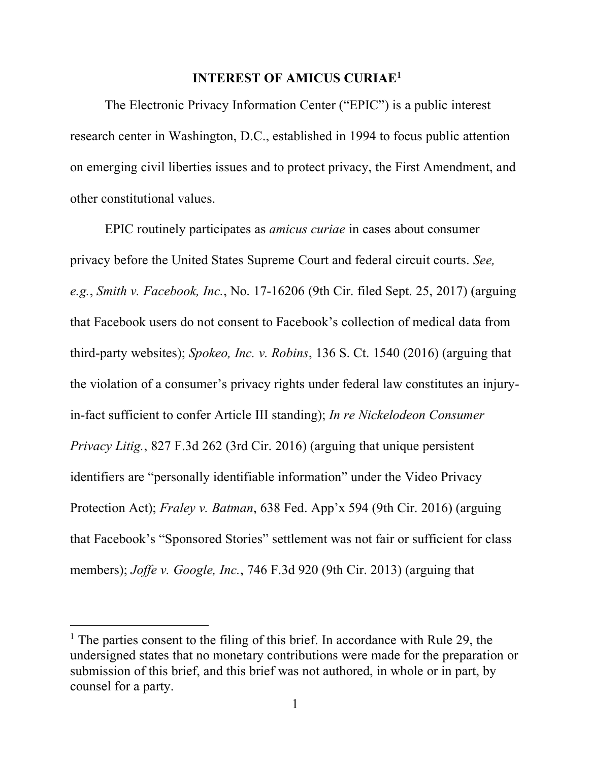# **INTEREST OF AMICUS CURIAE1**

The Electronic Privacy Information Center ("EPIC") is a public interest research center in Washington, D.C., established in 1994 to focus public attention on emerging civil liberties issues and to protect privacy, the First Amendment, and other constitutional values.

EPIC routinely participates as *amicus curiae* in cases about consumer privacy before the United States Supreme Court and federal circuit courts. *See, e.g.*, *Smith v. Facebook, Inc.*, No. 17-16206 (9th Cir. filed Sept. 25, 2017) (arguing that Facebook users do not consent to Facebook's collection of medical data from third-party websites); *Spokeo, Inc. v. Robins*, 136 S. Ct. 1540 (2016) (arguing that the violation of a consumer's privacy rights under federal law constitutes an injuryin-fact sufficient to confer Article III standing); *In re Nickelodeon Consumer Privacy Litig.*, 827 F.3d 262 (3rd Cir. 2016) (arguing that unique persistent identifiers are "personally identifiable information" under the Video Privacy Protection Act); *Fraley v. Batman*, 638 Fed. App'x 594 (9th Cir. 2016) (arguing that Facebook's "Sponsored Stories" settlement was not fair or sufficient for class members); *Joffe v. Google, Inc.*, 746 F.3d 920 (9th Cir. 2013) (arguing that

<sup>&</sup>lt;sup>1</sup> The parties consent to the filing of this brief. In accordance with Rule 29, the undersigned states that no monetary contributions were made for the preparation or submission of this brief, and this brief was not authored, in whole or in part, by counsel for a party.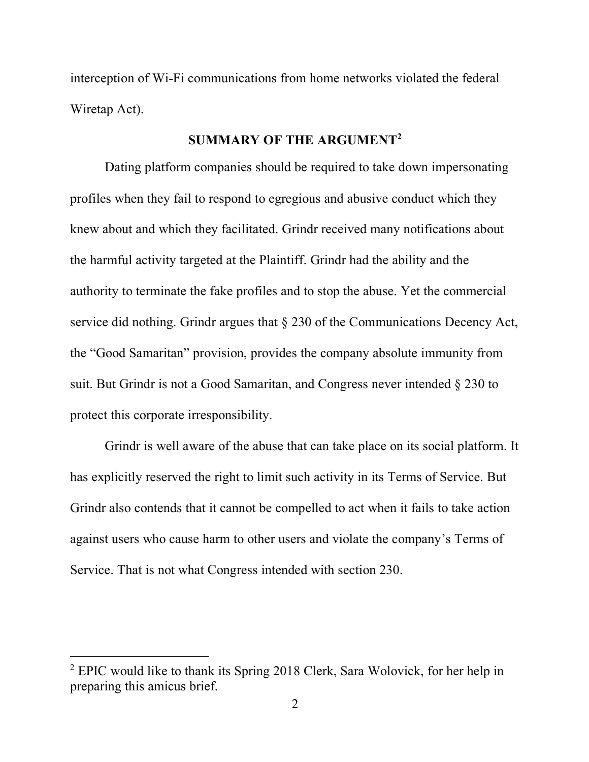interception of Wi-Fi communications from home networks violated the federal Wiretap Act).

# **SUMMARY OF THE ARGUMENT2**

Dating platform companies should be required to take down impersonating profiles when they fail to respond to egregious and abusive conduct which they knew about and which they facilitated. Grindr received many notifications about the harmful activity targeted at the Plaintiff. Grindr had the ability and the authority to terminate the fake profiles and to stop the abuse. Yet the commercial service did nothing. Grindr argues that § 230 of the Communications Decency Act, the "Good Samaritan" provision, provides the company absolute immunity from suit. But Grindr is not a Good Samaritan, and Congress never intended § 230 to protect this corporate irresponsibility.

Grindr is well aware of the abuse that can take place on its social platform. It has explicitly reserved the right to limit such activity in its Terms of Service. But Grindr also contends that it cannot be compelled to act when it fails to take action against users who cause harm to other users and violate the company's Terms of Service. That is not what Congress intended with section 230.

<sup>2</sup> EPIC would like to thank its Spring 2018 Clerk, Sara Wolovick, for her help in preparing this amicus brief.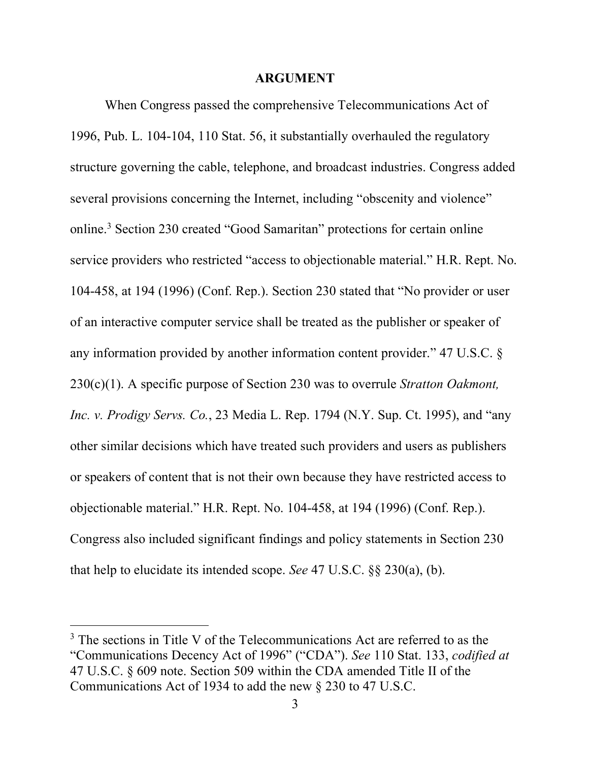#### **ARGUMENT**

When Congress passed the comprehensive Telecommunications Act of 1996, Pub. L. 104-104, 110 Stat. 56, it substantially overhauled the regulatory structure governing the cable, telephone, and broadcast industries. Congress added several provisions concerning the Internet, including "obscenity and violence" online. <sup>3</sup> Section 230 created "Good Samaritan" protections for certain online service providers who restricted "access to objectionable material." H.R. Rept. No. 104-458, at 194 (1996) (Conf. Rep.). Section 230 stated that "No provider or user of an interactive computer service shall be treated as the publisher or speaker of any information provided by another information content provider." 47 U.S.C. § 230(c)(1). A specific purpose of Section 230 was to overrule *Stratton Oakmont, Inc. v. Prodigy Servs. Co.*, 23 Media L. Rep. 1794 (N.Y. Sup. Ct. 1995), and "any other similar decisions which have treated such providers and users as publishers or speakers of content that is not their own because they have restricted access to objectionable material." H.R. Rept. No. 104-458, at 194 (1996) (Conf. Rep.). Congress also included significant findings and policy statements in Section 230 that help to elucidate its intended scope. *See* 47 U.S.C. §§ 230(a), (b).

<sup>&</sup>lt;sup>3</sup> The sections in Title V of the Telecommunications Act are referred to as the "Communications Decency Act of 1996" ("CDA"). *See* 110 Stat. 133, *codified at* 47 U.S.C. § 609 note. Section 509 within the CDA amended Title II of the Communications Act of 1934 to add the new § 230 to 47 U.S.C.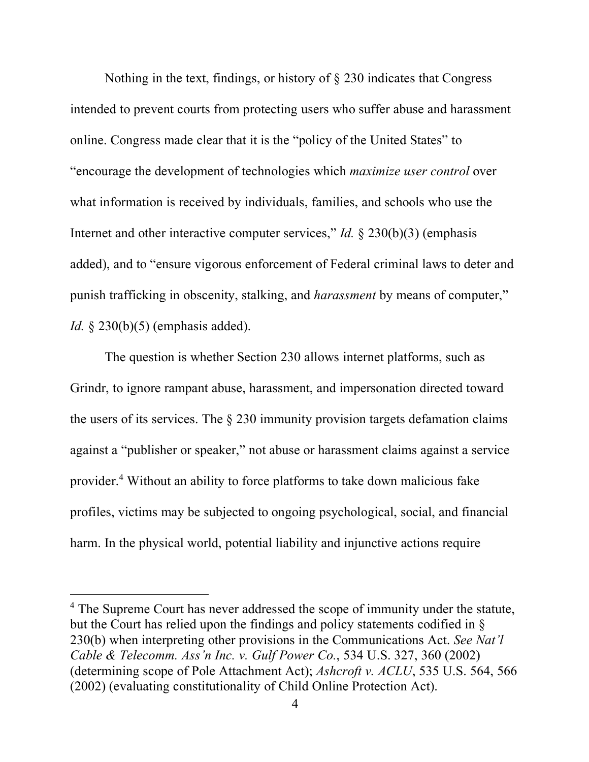Nothing in the text, findings, or history of § 230 indicates that Congress intended to prevent courts from protecting users who suffer abuse and harassment online. Congress made clear that it is the "policy of the United States" to "encourage the development of technologies which *maximize user control* over what information is received by individuals, families, and schools who use the Internet and other interactive computer services," *Id.* § 230(b)(3) (emphasis added), and to "ensure vigorous enforcement of Federal criminal laws to deter and punish trafficking in obscenity, stalking, and *harassment* by means of computer," *Id.* § 230(b)(5) (emphasis added).

The question is whether Section 230 allows internet platforms, such as Grindr, to ignore rampant abuse, harassment, and impersonation directed toward the users of its services. The  $\S$  230 immunity provision targets defamation claims against a "publisher or speaker," not abuse or harassment claims against a service provider. <sup>4</sup> Without an ability to force platforms to take down malicious fake profiles, victims may be subjected to ongoing psychological, social, and financial harm. In the physical world, potential liability and injunctive actions require

<sup>&</sup>lt;sup>4</sup> The Supreme Court has never addressed the scope of immunity under the statute, but the Court has relied upon the findings and policy statements codified in § 230(b) when interpreting other provisions in the Communications Act. *See Nat'l Cable & Telecomm. Ass'n Inc. v. Gulf Power Co.*, 534 U.S. 327, 360 (2002) (determining scope of Pole Attachment Act); *Ashcroft v. ACLU*, 535 U.S. 564, 566 (2002) (evaluating constitutionality of Child Online Protection Act).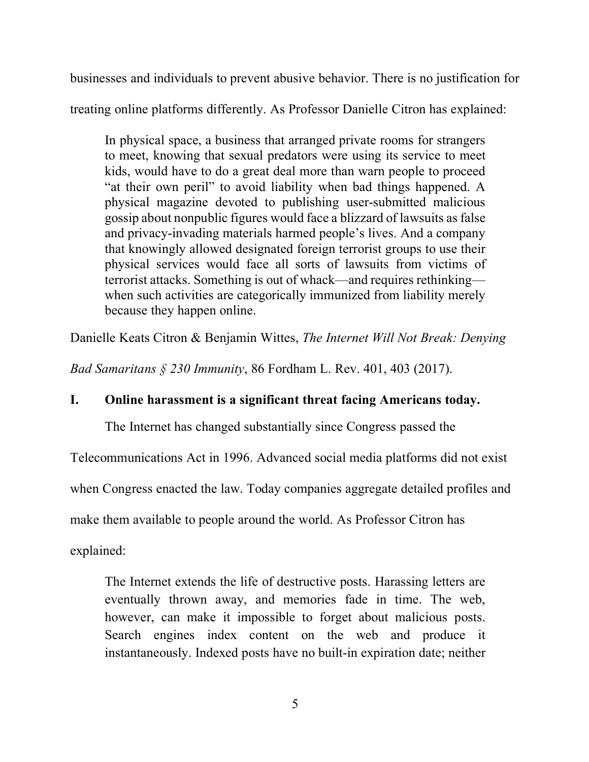businesses and individuals to prevent abusive behavior. There is no justification for

treating online platforms differently. As Professor Danielle Citron has explained:

In physical space, a business that arranged private rooms for strangers to meet, knowing that sexual predators were using its service to meet kids, would have to do a great deal more than warn people to proceed "at their own peril" to avoid liability when bad things happened. A physical magazine devoted to publishing user-submitted malicious gossip about nonpublic figures would face a blizzard of lawsuits as false and privacy-invading materials harmed people's lives. And a company that knowingly allowed designated foreign terrorist groups to use their physical services would face all sorts of lawsuits from victims of terrorist attacks. Something is out of whack—and requires rethinking when such activities are categorically immunized from liability merely because they happen online.

Danielle Keats Citron & Benjamin Wittes, *The Internet Will Not Break: Denying* 

*Bad Samaritans § 230 Immunity*, 86 Fordham L. Rev. 401, 403 (2017).

# **I. Online harassment is a significant threat facing Americans today.**

The Internet has changed substantially since Congress passed the

Telecommunications Act in 1996. Advanced social media platforms did not exist

when Congress enacted the law. Today companies aggregate detailed profiles and

make them available to people around the world. As Professor Citron has

explained:

The Internet extends the life of destructive posts. Harassing letters are eventually thrown away, and memories fade in time. The web, however, can make it impossible to forget about malicious posts. Search engines index content on the web and produce it instantaneously. Indexed posts have no built-in expiration date; neither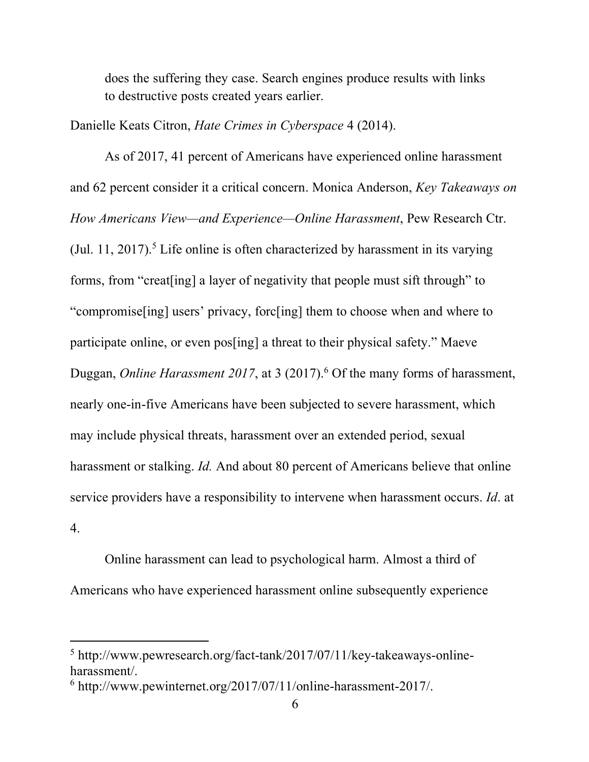does the suffering they case. Search engines produce results with links to destructive posts created years earlier.

Danielle Keats Citron, *Hate Crimes in Cyberspace* 4 (2014).

As of 2017, 41 percent of Americans have experienced online harassment and 62 percent consider it a critical concern. Monica Anderson, *Key Takeaways on How Americans View—and Experience—Online Harassment*, Pew Research Ctr. (Jul. 11, 2017).<sup>5</sup> Life online is often characterized by harassment in its varying forms, from "creat[ing] a layer of negativity that people must sift through" to "compromise[ing] users' privacy, forc[ing] them to choose when and where to participate online, or even pos[ing] a threat to their physical safety." Maeve Duggan, *Online Harassment 2017*, at 3 (2017). <sup>6</sup> Of the many forms of harassment, nearly one-in-five Americans have been subjected to severe harassment, which may include physical threats, harassment over an extended period, sexual harassment or stalking. *Id.* And about 80 percent of Americans believe that online service providers have a responsibility to intervene when harassment occurs. *Id*. at 4.

Online harassment can lead to psychological harm. Almost a third of Americans who have experienced harassment online subsequently experience

<sup>5</sup> http://www.pewresearch.org/fact-tank/2017/07/11/key-takeaways-onlineharassment/. 6 http://www.pewinternet.org/2017/07/11/online-harassment-2017/.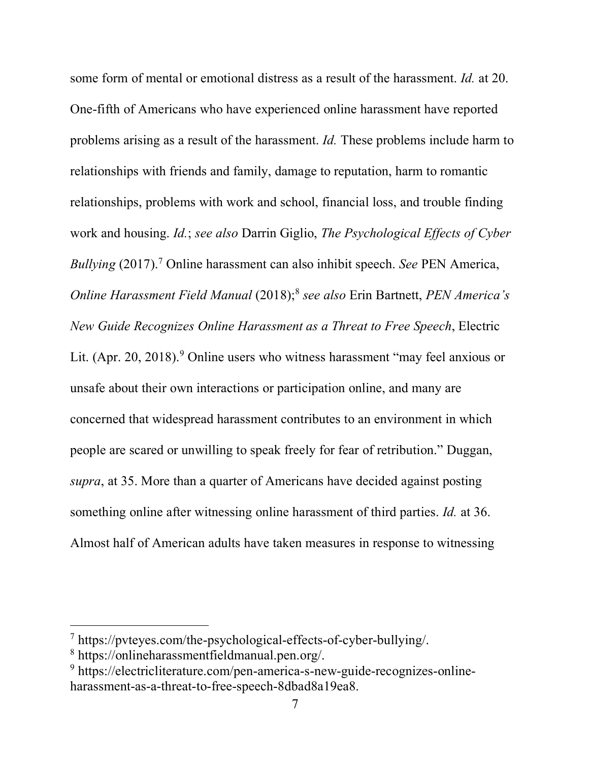some form of mental or emotional distress as a result of the harassment. *Id.* at 20. One-fifth of Americans who have experienced online harassment have reported problems arising as a result of the harassment. *Id.* These problems include harm to relationships with friends and family, damage to reputation, harm to romantic relationships, problems with work and school, financial loss, and trouble finding work and housing. *Id.*; *see also* Darrin Giglio, *The Psychological Effects of Cyber Bullying* (2017). <sup>7</sup> Online harassment can also inhibit speech. *See* PEN America, *Online Harassment Field Manual* (2018); <sup>8</sup> *see also* Erin Bartnett, *PEN America's New Guide Recognizes Online Harassment as a Threat to Free Speech*, Electric Lit. (Apr. 20, 2018).<sup>9</sup> Online users who witness harassment "may feel anxious or unsafe about their own interactions or participation online, and many are concerned that widespread harassment contributes to an environment in which people are scared or unwilling to speak freely for fear of retribution." Duggan, *supra*, at 35. More than a quarter of Americans have decided against posting something online after witnessing online harassment of third parties. *Id.* at 36. Almost half of American adults have taken measures in response to witnessing

<sup>7</sup> https://pvteyes.com/the-psychological-effects-of-cyber-bullying/.

<sup>8</sup> https://onlineharassmentfieldmanual.pen.org/.

<sup>9</sup> https://electricliterature.com/pen-america-s-new-guide-recognizes-onlineharassment-as-a-threat-to-free-speech-8dbad8a19ea8.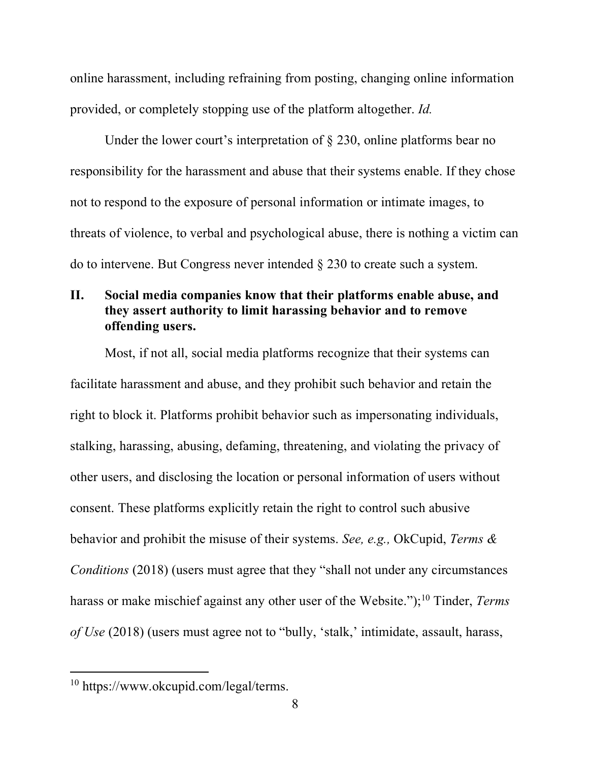online harassment, including refraining from posting, changing online information provided, or completely stopping use of the platform altogether. *Id.*

Under the lower court's interpretation of  $\S$  230, online platforms bear no responsibility for the harassment and abuse that their systems enable. If they chose not to respond to the exposure of personal information or intimate images, to threats of violence, to verbal and psychological abuse, there is nothing a victim can do to intervene. But Congress never intended § 230 to create such a system.

# **II. Social media companies know that their platforms enable abuse, and they assert authority to limit harassing behavior and to remove offending users.**

Most, if not all, social media platforms recognize that their systems can facilitate harassment and abuse, and they prohibit such behavior and retain the right to block it. Platforms prohibit behavior such as impersonating individuals, stalking, harassing, abusing, defaming, threatening, and violating the privacy of other users, and disclosing the location or personal information of users without consent. These platforms explicitly retain the right to control such abusive behavior and prohibit the misuse of their systems. *See, e.g.,* OkCupid, *Terms & Conditions* (2018) (users must agree that they "shall not under any circumstances harass or make mischief against any other user of the Website.");10 Tinder, *Terms of Use* (2018) (users must agree not to "bully, 'stalk,' intimidate, assault, harass,

<sup>10</sup> https://www.okcupid.com/legal/terms.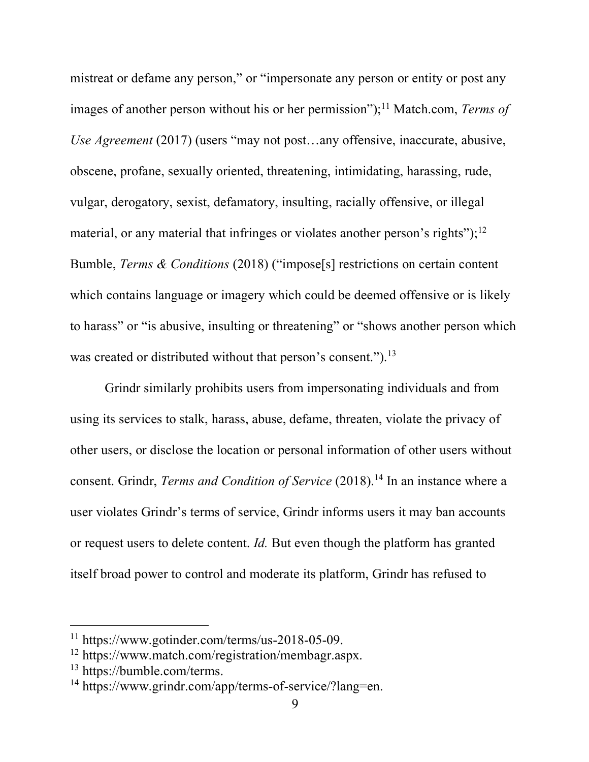mistreat or defame any person," or "impersonate any person or entity or post any images of another person without his or her permission");<sup>11</sup> Match.com, *Terms of Use Agreement* (2017) (users "may not post…any offensive, inaccurate, abusive, obscene, profane, sexually oriented, threatening, intimidating, harassing, rude, vulgar, derogatory, sexist, defamatory, insulting, racially offensive, or illegal material, or any material that infringes or violates another person's rights");<sup>12</sup> Bumble, *Terms & Conditions* (2018) ("impose[s] restrictions on certain content which contains language or imagery which could be deemed offensive or is likely to harass" or "is abusive, insulting or threatening" or "shows another person which was created or distributed without that person's consent.").<sup>13</sup>

Grindr similarly prohibits users from impersonating individuals and from using its services to stalk, harass, abuse, defame, threaten, violate the privacy of other users, or disclose the location or personal information of other users without consent. Grindr, *Terms and Condition of Service* (2018). <sup>14</sup> In an instance where a user violates Grindr's terms of service, Grindr informs users it may ban accounts or request users to delete content. *Id.* But even though the platform has granted itself broad power to control and moderate its platform, Grindr has refused to

<sup>&</sup>lt;sup>11</sup> https://www.gotinder.com/terms/us-2018-05-09.<br><sup>12</sup> https://www.match.com/registration/membagr.aspx.<br><sup>13</sup> https://www.grindr.com/app/terms-of-service/?lang=en.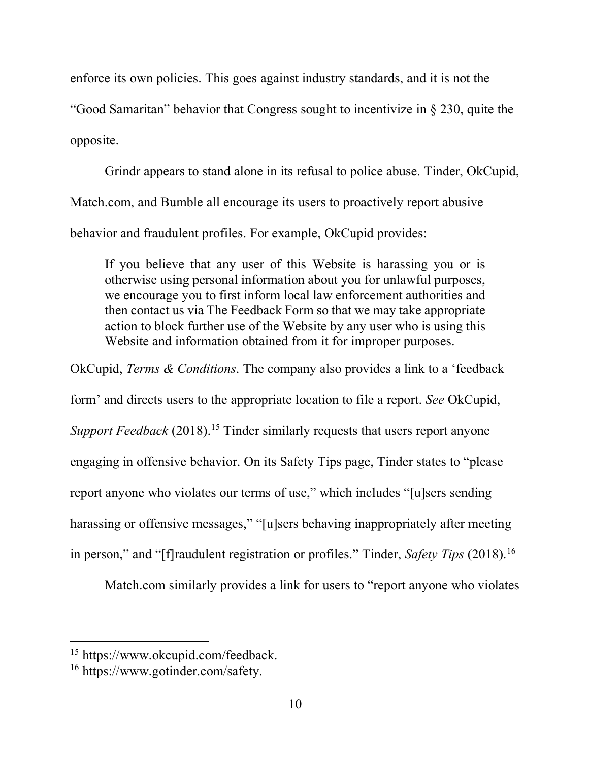enforce its own policies. This goes against industry standards, and it is not the

"Good Samaritan" behavior that Congress sought to incentivize in § 230, quite the opposite.

Grindr appears to stand alone in its refusal to police abuse. Tinder, OkCupid, Match.com, and Bumble all encourage its users to proactively report abusive behavior and fraudulent profiles. For example, OkCupid provides:

If you believe that any user of this Website is harassing you or is otherwise using personal information about you for unlawful purposes, we encourage you to first inform local law enforcement authorities and then contact us via The Feedback Form so that we may take appropriate action to block further use of the Website by any user who is using this Website and information obtained from it for improper purposes.

OkCupid, *Terms & Conditions*. The company also provides a link to a 'feedback

form' and directs users to the appropriate location to file a report. *See* OkCupid,

*Support Feedback* (2018). <sup>15</sup> Tinder similarly requests that users report anyone

engaging in offensive behavior. On its Safety Tips page, Tinder states to "please

report anyone who violates our terms of use," which includes "[u]sers sending

harassing or offensive messages," "[u]sers behaving inappropriately after meeting

in person," and "[f]raudulent registration or profiles." Tinder, *Safety Tips* (2018). 16

Match.com similarly provides a link for users to "report anyone who violates

<sup>&</sup>lt;sup>15</sup> https://www.okcupid.com/feedback.<br><sup>16</sup> https://www.gotinder.com/safety.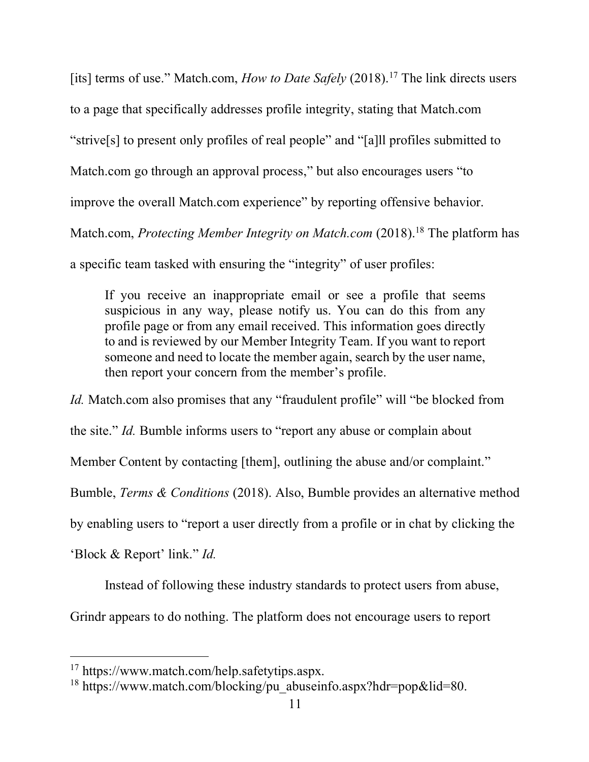[its] terms of use." Match.com, *How to Date Safely* (2018).<sup>17</sup> The link directs users to a page that specifically addresses profile integrity, stating that Match.com "strive[s] to present only profiles of real people" and "[a]ll profiles submitted to Match.com go through an approval process," but also encourages users "to improve the overall Match.com experience" by reporting offensive behavior. Match.com, *Protecting Member Integrity on Match.com* (2018). <sup>18</sup> The platform has a specific team tasked with ensuring the "integrity" of user profiles:

If you receive an inappropriate email or see a profile that seems suspicious in any way, please notify us. You can do this from any profile page or from any email received. This information goes directly to and is reviewed by our Member Integrity Team. If you want to report someone and need to locate the member again, search by the user name, then report your concern from the member's profile.

*Id.* Match.com also promises that any "fraudulent profile" will "be blocked from

the site." *Id.* Bumble informs users to "report any abuse or complain about

Member Content by contacting [them], outlining the abuse and/or complaint."

Bumble, *Terms & Conditions* (2018). Also, Bumble provides an alternative method

by enabling users to "report a user directly from a profile or in chat by clicking the

'Block & Report' link." *Id.*

1

Instead of following these industry standards to protect users from abuse,

Grindr appears to do nothing. The platform does not encourage users to report

<sup>&</sup>lt;sup>17</sup> https://www.match.com/help.safetytips.aspx.<br><sup>18</sup> https://www.match.com/blocking/pu\_abuseinfo.aspx?hdr=pop&lid=80.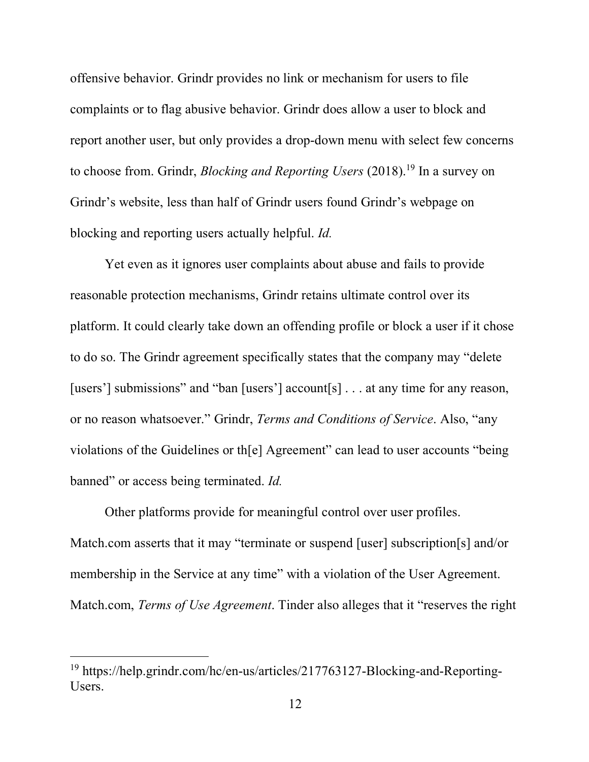offensive behavior. Grindr provides no link or mechanism for users to file complaints or to flag abusive behavior. Grindr does allow a user to block and report another user, but only provides a drop-down menu with select few concerns to choose from. Grindr, *Blocking and Reporting Users* (2018). <sup>19</sup> In a survey on Grindr's website, less than half of Grindr users found Grindr's webpage on blocking and reporting users actually helpful. *Id.*

Yet even as it ignores user complaints about abuse and fails to provide reasonable protection mechanisms, Grindr retains ultimate control over its platform. It could clearly take down an offending profile or block a user if it chose to do so. The Grindr agreement specifically states that the company may "delete [users'] submissions" and "ban [users'] account[s] . . . at any time for any reason, or no reason whatsoever." Grindr, *Terms and Conditions of Service*. Also, "any violations of the Guidelines or th[e] Agreement" can lead to user accounts "being banned" or access being terminated. *Id.*

Other platforms provide for meaningful control over user profiles. Match.com asserts that it may "terminate or suspend [user] subscription[s] and/or membership in the Service at any time" with a violation of the User Agreement. Match.com, *Terms of Use Agreement*. Tinder also alleges that it "reserves the right

<sup>19</sup> https://help.grindr.com/hc/en-us/articles/217763127-Blocking-and-Reporting-Users.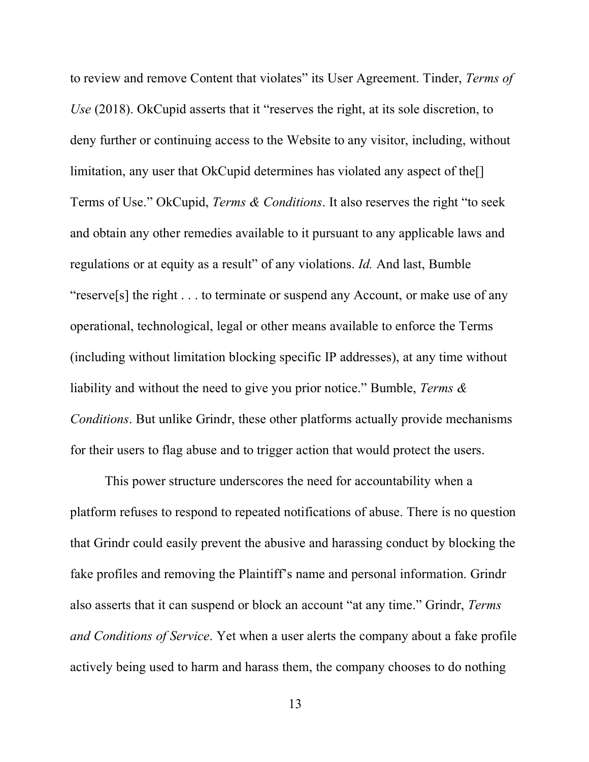to review and remove Content that violates" its User Agreement. Tinder, *Terms of Use* (2018). OkCupid asserts that it "reserves the right, at its sole discretion, to deny further or continuing access to the Website to any visitor, including, without limitation, any user that OkCupid determines has violated any aspect of the<sup>[]</sup> Terms of Use." OkCupid, *Terms & Conditions*. It also reserves the right "to seek and obtain any other remedies available to it pursuant to any applicable laws and regulations or at equity as a result" of any violations. *Id.* And last, Bumble "reserve[s] the right . . . to terminate or suspend any Account, or make use of any operational, technological, legal or other means available to enforce the Terms (including without limitation blocking specific IP addresses), at any time without liability and without the need to give you prior notice." Bumble, *Terms & Conditions*. But unlike Grindr, these other platforms actually provide mechanisms for their users to flag abuse and to trigger action that would protect the users.

This power structure underscores the need for accountability when a platform refuses to respond to repeated notifications of abuse. There is no question that Grindr could easily prevent the abusive and harassing conduct by blocking the fake profiles and removing the Plaintiff's name and personal information. Grindr also asserts that it can suspend or block an account "at any time." Grindr, *Terms and Conditions of Service*. Yet when a user alerts the company about a fake profile actively being used to harm and harass them, the company chooses to do nothing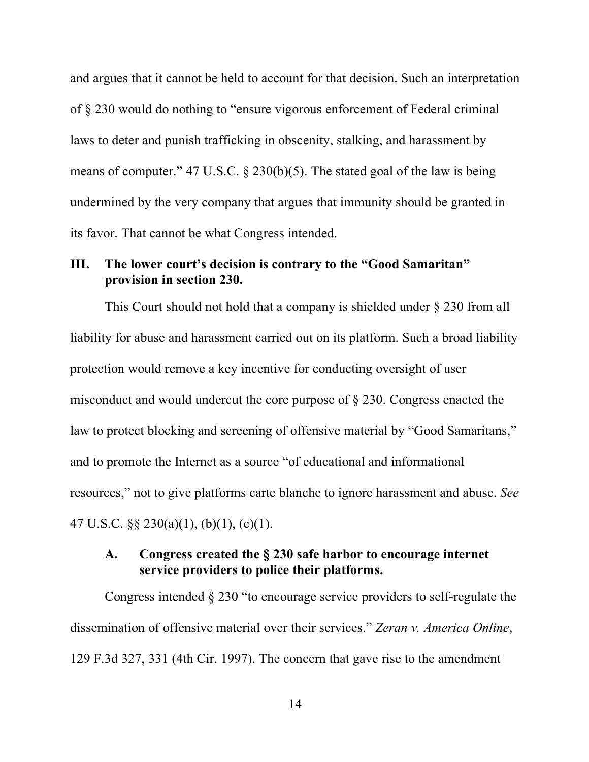and argues that it cannot be held to account for that decision. Such an interpretation of § 230 would do nothing to "ensure vigorous enforcement of Federal criminal laws to deter and punish trafficking in obscenity, stalking, and harassment by means of computer." 47 U.S.C. § 230(b)(5). The stated goal of the law is being undermined by the very company that argues that immunity should be granted in its favor. That cannot be what Congress intended.

# **III. The lower court's decision is contrary to the "Good Samaritan" provision in section 230.**

This Court should not hold that a company is shielded under § 230 from all liability for abuse and harassment carried out on its platform. Such a broad liability protection would remove a key incentive for conducting oversight of user misconduct and would undercut the core purpose of § 230. Congress enacted the law to protect blocking and screening of offensive material by "Good Samaritans," and to promote the Internet as a source "of educational and informational resources," not to give platforms carte blanche to ignore harassment and abuse. *See*  47 U.S.C. §§ 230(a)(1), (b)(1), (c)(1).

### **A. Congress created the § 230 safe harbor to encourage internet service providers to police their platforms.**

Congress intended § 230 "to encourage service providers to self-regulate the dissemination of offensive material over their services." *Zeran v. America Online*, 129 F.3d 327, 331 (4th Cir. 1997). The concern that gave rise to the amendment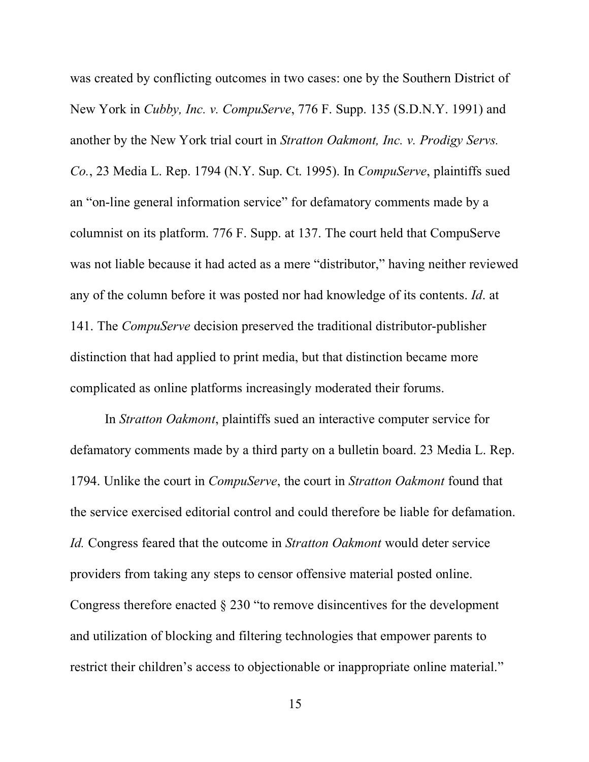was created by conflicting outcomes in two cases: one by the Southern District of New York in *Cubby, Inc. v. CompuServe*, 776 F. Supp. 135 (S.D.N.Y. 1991) and another by the New York trial court in *Stratton Oakmont, Inc. v. Prodigy Servs. Co.*, 23 Media L. Rep. 1794 (N.Y. Sup. Ct. 1995). In *CompuServe*, plaintiffs sued an "on-line general information service" for defamatory comments made by a columnist on its platform. 776 F. Supp. at 137. The court held that CompuServe was not liable because it had acted as a mere "distributor," having neither reviewed any of the column before it was posted nor had knowledge of its contents. *Id*. at 141. The *CompuServe* decision preserved the traditional distributor-publisher distinction that had applied to print media, but that distinction became more complicated as online platforms increasingly moderated their forums.

In *Stratton Oakmont*, plaintiffs sued an interactive computer service for defamatory comments made by a third party on a bulletin board. 23 Media L. Rep. 1794. Unlike the court in *CompuServe*, the court in *Stratton Oakmont* found that the service exercised editorial control and could therefore be liable for defamation. *Id.* Congress feared that the outcome in *Stratton Oakmont* would deter service providers from taking any steps to censor offensive material posted online. Congress therefore enacted § 230 "to remove disincentives for the development and utilization of blocking and filtering technologies that empower parents to restrict their children's access to objectionable or inappropriate online material."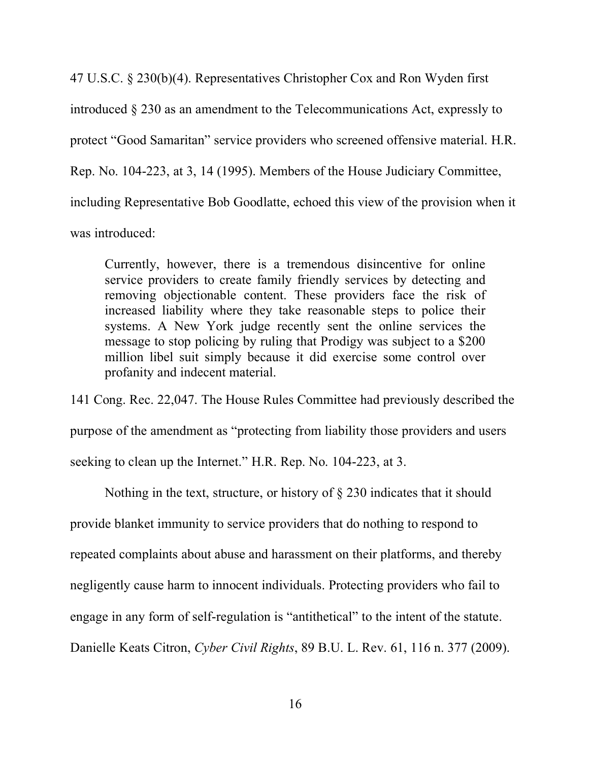47 U.S.C. § 230(b)(4). Representatives Christopher Cox and Ron Wyden first introduced § 230 as an amendment to the Telecommunications Act, expressly to protect "Good Samaritan" service providers who screened offensive material. H.R. Rep. No. 104-223, at 3, 14 (1995). Members of the House Judiciary Committee, including Representative Bob Goodlatte, echoed this view of the provision when it was introduced:

Currently, however, there is a tremendous disincentive for online service providers to create family friendly services by detecting and removing objectionable content. These providers face the risk of increased liability where they take reasonable steps to police their systems. A New York judge recently sent the online services the message to stop policing by ruling that Prodigy was subject to a \$200 million libel suit simply because it did exercise some control over profanity and indecent material.

141 Cong. Rec. 22,047. The House Rules Committee had previously described the purpose of the amendment as "protecting from liability those providers and users

seeking to clean up the Internet." H.R. Rep. No. 104-223, at 3.

Nothing in the text, structure, or history of § 230 indicates that it should provide blanket immunity to service providers that do nothing to respond to

repeated complaints about abuse and harassment on their platforms, and thereby

negligently cause harm to innocent individuals. Protecting providers who fail to

engage in any form of self-regulation is "antithetical" to the intent of the statute.

Danielle Keats Citron, *Cyber Civil Rights*, 89 B.U. L. Rev. 61, 116 n. 377 (2009).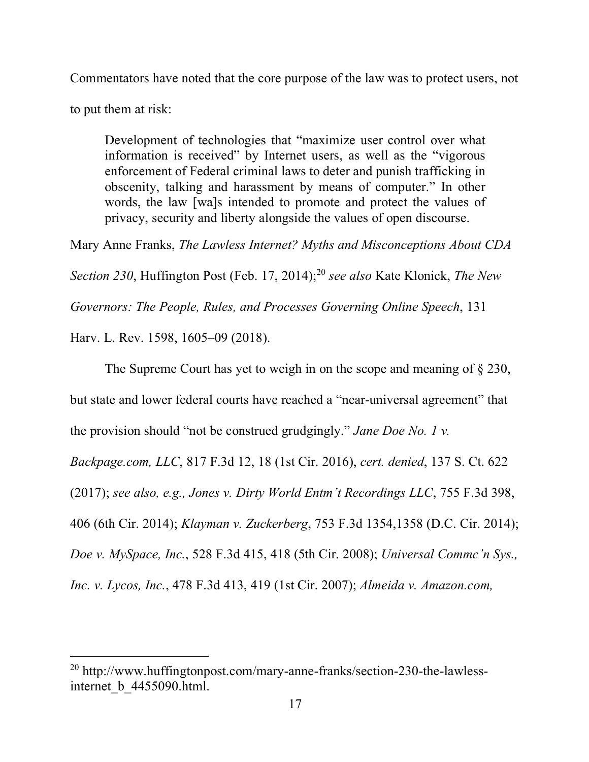Commentators have noted that the core purpose of the law was to protect users, not

to put them at risk:

1

Development of technologies that "maximize user control over what information is received" by Internet users, as well as the "vigorous enforcement of Federal criminal laws to deter and punish trafficking in obscenity, talking and harassment by means of computer." In other words, the law [wa]s intended to promote and protect the values of privacy, security and liberty alongside the values of open discourse.

Mary Anne Franks, *The Lawless Internet? Myths and Misconceptions About CDA* 

*Section 230*, Huffington Post (Feb. 17, 2014); <sup>20</sup> *see also* Kate Klonick, *The New* 

*Governors: The People, Rules, and Processes Governing Online Speech*, 131

Harv. L. Rev. 1598, 1605–09 (2018).

The Supreme Court has yet to weigh in on the scope and meaning of § 230,

but state and lower federal courts have reached a "near-universal agreement" that

the provision should "not be construed grudgingly." *Jane Doe No. 1 v.* 

*Backpage.com, LLC*, 817 F.3d 12, 18 (1st Cir. 2016), *cert. denied*, 137 S. Ct. 622

(2017); *see also, e.g., Jones v. Dirty World Entm't Recordings LLC*, 755 F.3d 398,

406 (6th Cir. 2014); *Klayman v. Zuckerberg*, 753 F.3d 1354,1358 (D.C. Cir. 2014);

*Doe v. MySpace, Inc.*, 528 F.3d 415, 418 (5th Cir. 2008); *Universal Commc'n Sys.,* 

*Inc. v. Lycos, Inc.*, 478 F.3d 413, 419 (1st Cir. 2007); *Almeida v. Amazon.com,* 

<sup>20</sup> http://www.huffingtonpost.com/mary-anne-franks/section-230-the-lawlessinternet b 4455090.html.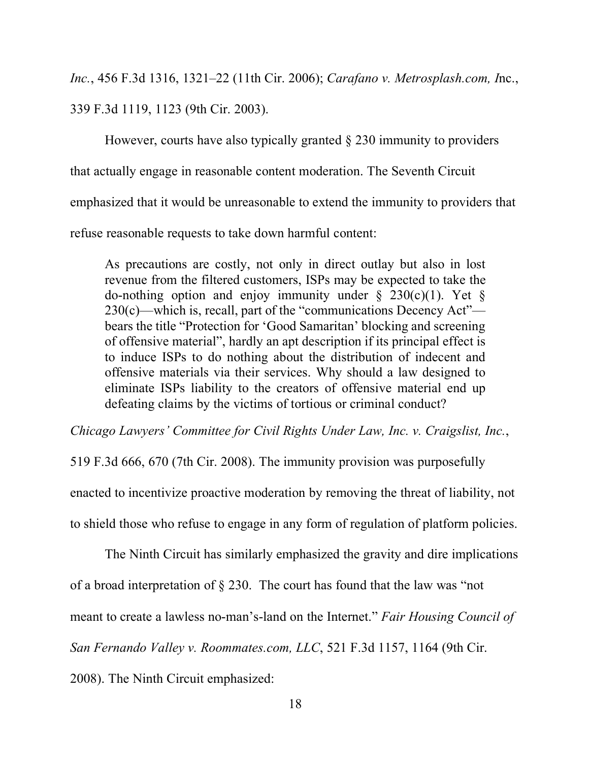*Inc.*, 456 F.3d 1316, 1321–22 (11th Cir. 2006); *Carafano v. Metrosplash.com, I*nc., 339 F.3d 1119, 1123 (9th Cir. 2003).

However, courts have also typically granted § 230 immunity to providers that actually engage in reasonable content moderation. The Seventh Circuit emphasized that it would be unreasonable to extend the immunity to providers that refuse reasonable requests to take down harmful content:

As precautions are costly, not only in direct outlay but also in lost revenue from the filtered customers, ISPs may be expected to take the do-nothing option and enjoy immunity under  $\S$  230(c)(1). Yet  $\S$ 230(c)—which is, recall, part of the "communications Decency Act" bears the title "Protection for 'Good Samaritan' blocking and screening of offensive material", hardly an apt description if its principal effect is to induce ISPs to do nothing about the distribution of indecent and offensive materials via their services. Why should a law designed to eliminate ISPs liability to the creators of offensive material end up defeating claims by the victims of tortious or criminal conduct?

*Chicago Lawyers' Committee for Civil Rights Under Law, Inc. v. Craigslist, Inc.*,

519 F.3d 666, 670 (7th Cir. 2008). The immunity provision was purposefully

enacted to incentivize proactive moderation by removing the threat of liability, not

to shield those who refuse to engage in any form of regulation of platform policies.

The Ninth Circuit has similarly emphasized the gravity and dire implications

of a broad interpretation of § 230. The court has found that the law was "not

meant to create a lawless no-man's-land on the Internet." *Fair Housing Council of* 

*San Fernando Valley v. Roommates.com, LLC*, 521 F.3d 1157, 1164 (9th Cir.

2008). The Ninth Circuit emphasized: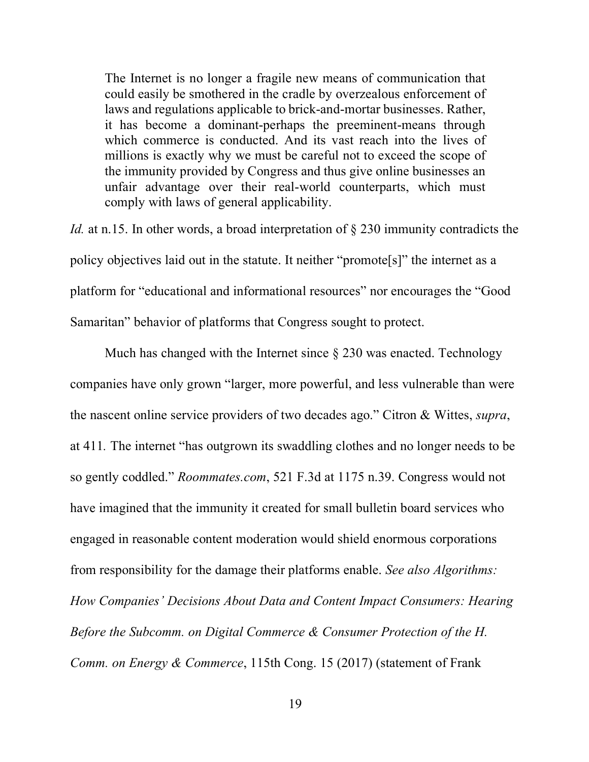The Internet is no longer a fragile new means of communication that could easily be smothered in the cradle by overzealous enforcement of laws and regulations applicable to brick-and-mortar businesses. Rather, it has become a dominant-perhaps the preeminent-means through which commerce is conducted. And its vast reach into the lives of millions is exactly why we must be careful not to exceed the scope of the immunity provided by Congress and thus give online businesses an unfair advantage over their real-world counterparts, which must comply with laws of general applicability.

*Id.* at n.15. In other words, a broad interpretation of § 230 immunity contradicts the policy objectives laid out in the statute. It neither "promote[s]" the internet as a platform for "educational and informational resources" nor encourages the "Good Samaritan" behavior of platforms that Congress sought to protect.

Much has changed with the Internet since  $\S$  230 was enacted. Technology companies have only grown "larger, more powerful, and less vulnerable than were the nascent online service providers of two decades ago." Citron & Wittes, *supra*, at 411*.* The internet "has outgrown its swaddling clothes and no longer needs to be so gently coddled." *Roommates.com*, 521 F.3d at 1175 n.39. Congress would not have imagined that the immunity it created for small bulletin board services who engaged in reasonable content moderation would shield enormous corporations from responsibility for the damage their platforms enable. *See also Algorithms: How Companies' Decisions About Data and Content Impact Consumers: Hearing Before the Subcomm. on Digital Commerce & Consumer Protection of the H. Comm. on Energy & Commerce*, 115th Cong. 15 (2017) (statement of Frank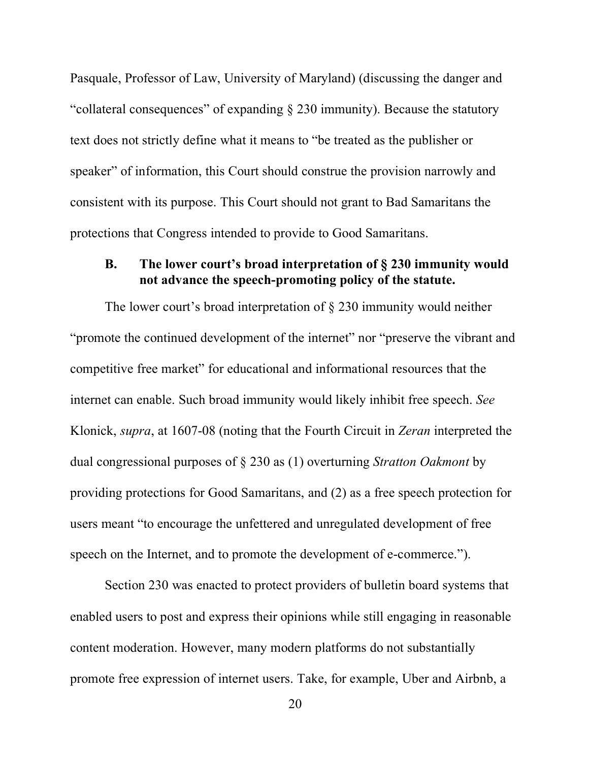Pasquale, Professor of Law, University of Maryland) (discussing the danger and "collateral consequences" of expanding § 230 immunity). Because the statutory text does not strictly define what it means to "be treated as the publisher or speaker" of information, this Court should construe the provision narrowly and consistent with its purpose. This Court should not grant to Bad Samaritans the protections that Congress intended to provide to Good Samaritans.

# **B. The lower court's broad interpretation of § 230 immunity would not advance the speech-promoting policy of the statute.**

The lower court's broad interpretation of § 230 immunity would neither "promote the continued development of the internet" nor "preserve the vibrant and competitive free market" for educational and informational resources that the internet can enable. Such broad immunity would likely inhibit free speech. *See* Klonick, *supra*, at 1607-08 (noting that the Fourth Circuit in *Zeran* interpreted the dual congressional purposes of § 230 as (1) overturning *Stratton Oakmont* by providing protections for Good Samaritans, and (2) as a free speech protection for users meant "to encourage the unfettered and unregulated development of free speech on the Internet, and to promote the development of e-commerce.").

Section 230 was enacted to protect providers of bulletin board systems that enabled users to post and express their opinions while still engaging in reasonable content moderation. However, many modern platforms do not substantially promote free expression of internet users. Take, for example, Uber and Airbnb, a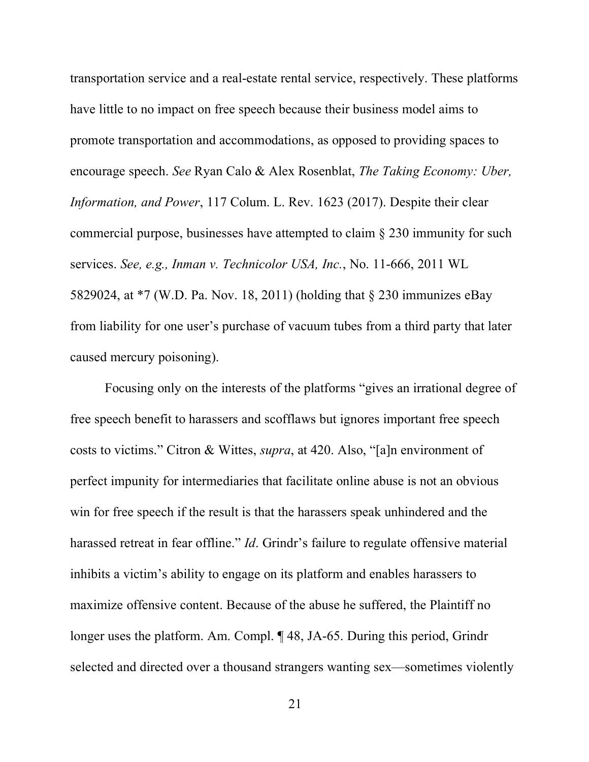transportation service and a real-estate rental service, respectively. These platforms have little to no impact on free speech because their business model aims to promote transportation and accommodations, as opposed to providing spaces to encourage speech. *See* Ryan Calo & Alex Rosenblat, *The Taking Economy: Uber, Information, and Power*, 117 Colum. L. Rev. 1623 (2017). Despite their clear commercial purpose, businesses have attempted to claim § 230 immunity for such services. *See, e.g., Inman v. Technicolor USA, Inc.*, No. 11-666, 2011 WL 5829024, at \*7 (W.D. Pa. Nov. 18, 2011) (holding that § 230 immunizes eBay from liability for one user's purchase of vacuum tubes from a third party that later caused mercury poisoning).

Focusing only on the interests of the platforms "gives an irrational degree of free speech benefit to harassers and scofflaws but ignores important free speech costs to victims." Citron & Wittes, *supra*, at 420. Also, "[a]n environment of perfect impunity for intermediaries that facilitate online abuse is not an obvious win for free speech if the result is that the harassers speak unhindered and the harassed retreat in fear offline." *Id*. Grindr's failure to regulate offensive material inhibits a victim's ability to engage on its platform and enables harassers to maximize offensive content. Because of the abuse he suffered, the Plaintiff no longer uses the platform. Am. Compl. ¶ 48, JA-65. During this period, Grindr selected and directed over a thousand strangers wanting sex—sometimes violently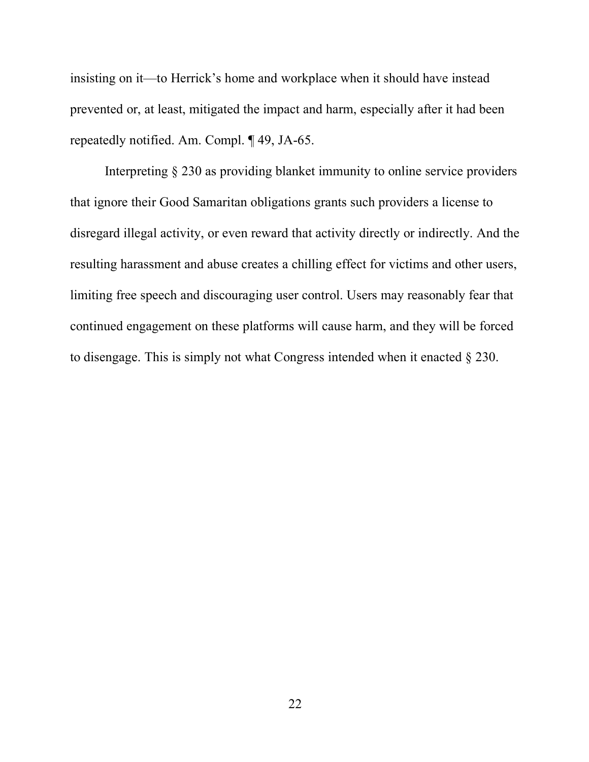insisting on it—to Herrick's home and workplace when it should have instead prevented or, at least, mitigated the impact and harm, especially after it had been repeatedly notified. Am. Compl. ¶ 49, JA-65.

Interpreting § 230 as providing blanket immunity to online service providers that ignore their Good Samaritan obligations grants such providers a license to disregard illegal activity, or even reward that activity directly or indirectly. And the resulting harassment and abuse creates a chilling effect for victims and other users, limiting free speech and discouraging user control. Users may reasonably fear that continued engagement on these platforms will cause harm, and they will be forced to disengage. This is simply not what Congress intended when it enacted § 230.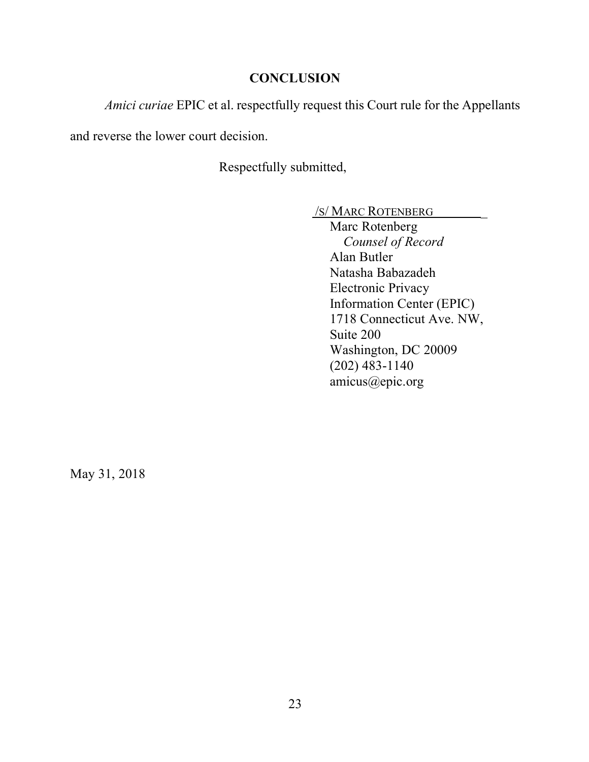# **CONCLUSION**

*Amici curiae* EPIC et al. respectfully request this Court rule for the Appellants

and reverse the lower court decision.

Respectfully submitted,

/S/ MARC ROTENBERG \_

Marc Rotenberg *Counsel of Record* Alan Butler Natasha Babazadeh Electronic Privacy Information Center (EPIC) 1718 Connecticut Ave. NW, Suite 200 Washington, DC 20009 (202) 483-1140 amicus@epic.org

May 31, 2018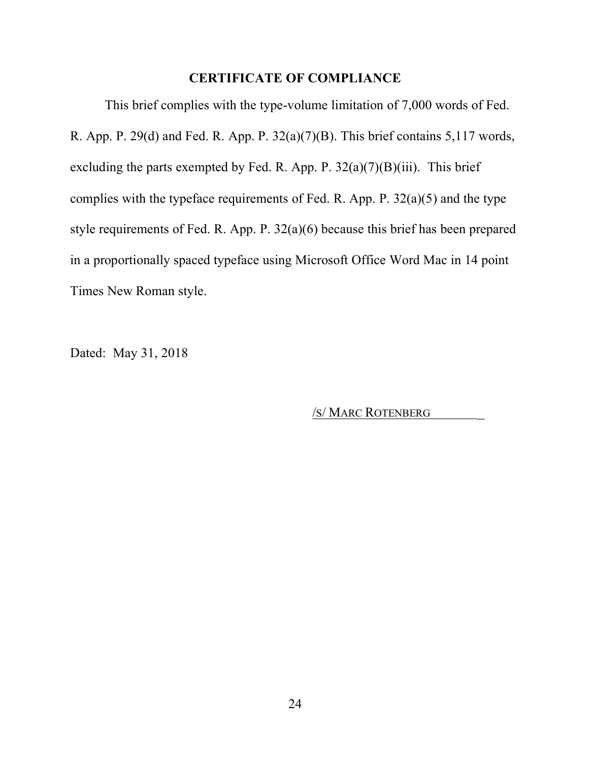# **CERTIFICATE OF COMPLIANCE**

This brief complies with the type-volume limitation of 7,000 words of Fed. R. App. P. 29(d) and Fed. R. App. P. 32(a)(7)(B). This brief contains 5,117 words, excluding the parts exempted by Fed. R. App. P.  $32(a)(7)(B)(iii)$ . This brief complies with the typeface requirements of Fed. R. App. P.  $32(a)(5)$  and the type style requirements of Fed. R. App. P. 32(a)(6) because this brief has been prepared in a proportionally spaced typeface using Microsoft Office Word Mac in 14 point Times New Roman style.

Dated: May 31, 2018

/S/ MARC ROTENBERG \_